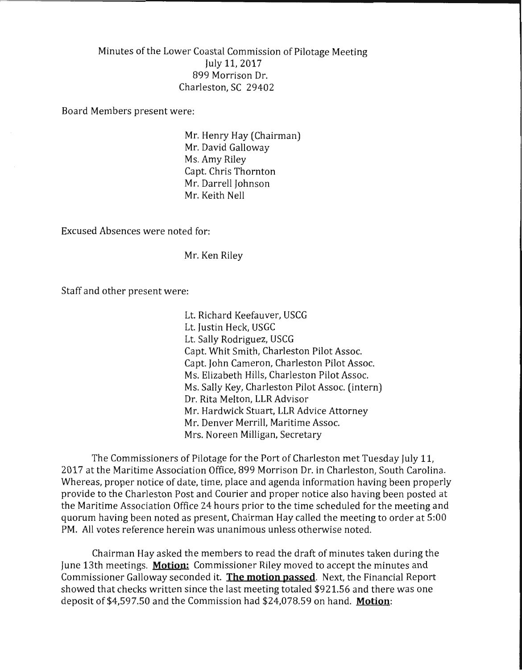Minutes of the Lower Coastal Commission of Pilotage Meeting July 11, 2017 899 Morrison Dr. Charleston, SC 29402

Board Members present were:

Mr. Henry Hay (Chairman) Mr. David Galloway Ms. Amy Riley Capt. Chris Thornton Mr. Darrell Johnson Mr. Keith Nell

Excused Absences were noted for:

Mr. Ken Riley

Staff and other present were:

Lt. Richard Keefauver, USCG Lt. Justin Heck, USGC Lt. Sally Rodriguez, USCG Capt. Whit Smith, Charleston Pilot Assoc. Capt. John Cameron, Charleston Pilot Assoc. Ms. Elizabeth Hills, Charleston Pilot Assoc. Ms. Sally Key, Charleston Pilot Assoc. (intern) Dr. Rita Melton, LLR Advisor Mr. Hardwick Stuart, LLR Advice Attorney Mr. Denver Merrill, Maritime Assoc. Mrs. Noreen Milligan, Secretary

The Commissioners of Pilotage for the Port of Charleston met Tuesday July 11, 2017 at the Maritime Association Office, 899 Morrison Dr. in Charleston, South Carolina. Whereas, proper notice of date, time, place and agenda information having been properly provide to the Charleston Post and Courier and proper notice also having been posted at the Maritime Association Office 24 hours prior to the time scheduled for the meeting and quorum having been noted as present, Chairman Hay called the meeting to order at 5:00 PM. All votes reference herein was unanimous unless otherwise noted.

Chairman Hay asked the members to read the draft of minutes taken during the June 13th meetings. **Motion:** Commissioner Riley moved to accept the minutes and Commissioner Galloway seconded it. **The motion passed.** Next, the Financial Report showed that checks written since the last meeting totaled \$921.56 and there was one deposit of \$4,597.50 and the Commission had \$24,078.59 on hand. **Motion:**